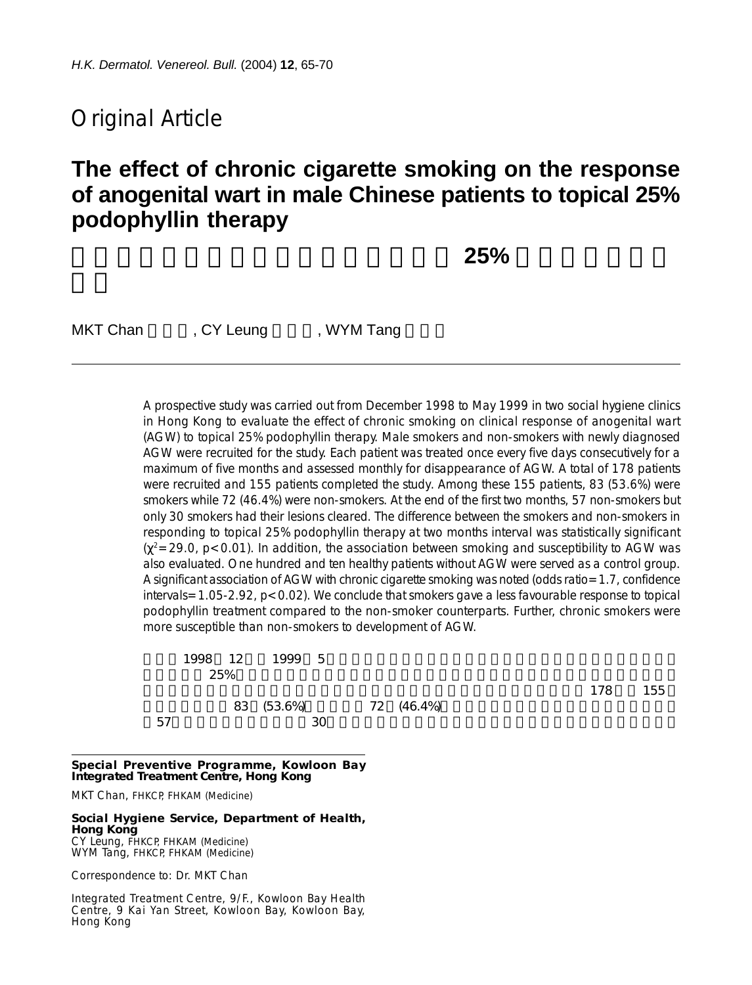# Original Article

# **The effect of chronic cigarette smoking on the response of anogenital wart in male Chinese patients to topical 25% podophyllin therapy**

長期吸煙對男性肛門生殖器疣患者接受 **25%** 鬼臼樹脂治療的

MKT Chan FCY Leung FC WYM Tang

A prospective study was carried out from December 1998 to May 1999 in two social hygiene clinics in Hong Kong to evaluate the effect of chronic smoking on clinical response of anogenital wart (AGW) to topical 25% podophyllin therapy. Male smokers and non-smokers with newly diagnosed AGW were recruited for the study. Each patient was treated once every five days consecutively for a maximum of five months and assessed monthly for disappearance of AGW. A total of 178 patients were recruited and 155 patients completed the study. Among these 155 patients, 83 (53.6%) were smokers while 72 (46.4%) were non-smokers. At the end of the first two months, 57 non-smokers but only 30 smokers had their lesions cleared. The difference between the smokers and non-smokers in responding to topical 25% podophyllin therapy at two months interval was statistically significant  $(x^2=29.0, p<0.01)$ . In addition, the association between smoking and susceptibility to AGW was also evaluated. One hundred and ten healthy patients without AGW were served as a control group. A significant association of AGW with chronic cigarette smoking was noted (odds ratio=1.7, confidence intervals=1.05-2.92, p<0.02). We conclude that smokers gave a less favourable response to topical podophyllin treatment compared to the non-smoker counterparts. Further, chronic smokers were more susceptible than non-smokers to development of AGW.

|    | 1998 12 | 1999 5     |            |     |     |
|----|---------|------------|------------|-----|-----|
|    | 25%     |            |            |     |     |
|    |         |            |            | 178 | 155 |
|    |         | 83 (53.6%) | 72 (46.4%) |     |     |
| 57 |         | 30         |            |     |     |

**Special Preventive Programme, Kowloon Bay Integrated Treatment Centre, Hong Kong**

MKT Chan, FHKCP, FHKAM (Medicine)

**Social Hygiene Service, Department of Health, Hong Kong** CY Leung, FHKCP, FHKAM (Medicine)

WYM Tang, FHKCP, FHKAM (Medicine)

Correspondence to: Dr. MKT Chan

Integrated Treatment Centre, 9/F., Kowloon Bay Health Centre, 9 Kai Yan Street, Kowloon Bay, Kowloon Bay, Hong Kong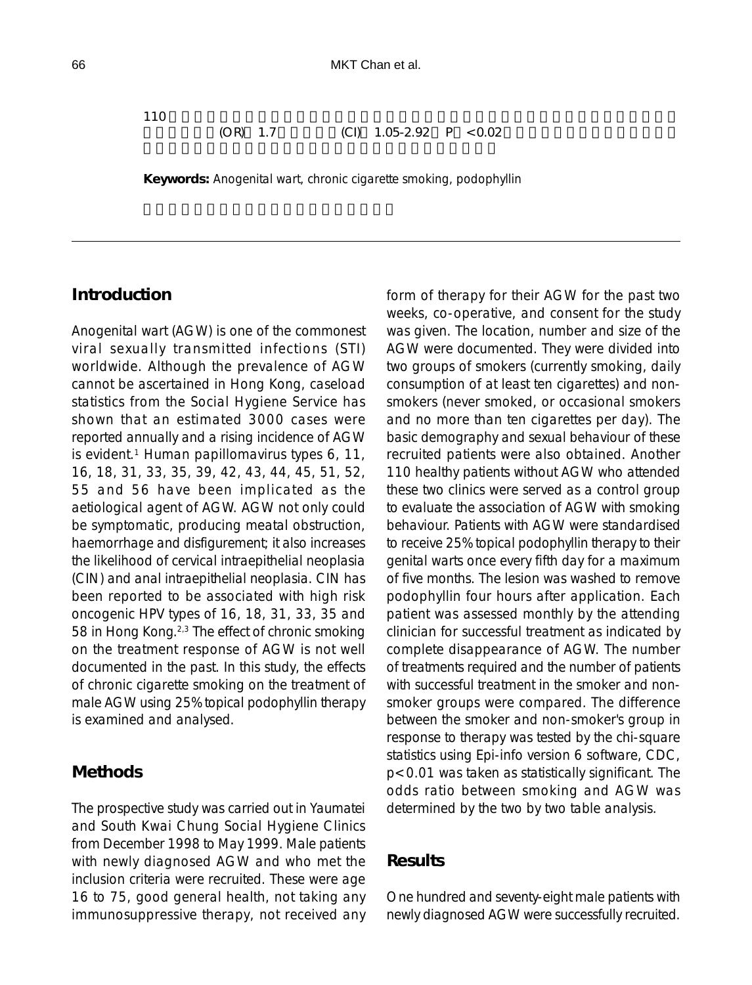110  $\blacksquare$ 

 $(OR)$  1.7  $(CI)$  1.05-2.92 P <0.02

**Keywords:** Anogenital wart, chronic cigarette smoking, podophyllin

#### **Introduction**

Anogenital wart (AGW) is one of the commonest viral sexually transmitted infections (STI) worldwide. Although the prevalence of AGW cannot be ascertained in Hong Kong, caseload statistics from the Social Hygiene Service has shown that an estimated 3000 cases were reported annually and a rising incidence of AGW is evident.<sup>1</sup> Human papillomavirus types  $6, 11,$ 16, 18, 31, 33, 35, 39, 42, 43, 44, 45, 51, 52, 55 and 56 have been implicated as the aetiological agent of AGW. AGW not only could be symptomatic, producing meatal obstruction, haemorrhage and disfigurement; it also increases the likelihood of cervical intraepithelial neoplasia (CIN) and anal intraepithelial neoplasia. CIN has been reported to be associated with high risk oncogenic HPV types of 16, 18, 31, 33, 35 and 58 in Hong Kong.<sup>2,3</sup> The effect of chronic smoking on the treatment response of AGW is not well documented in the past. In this study, the effects of chronic cigarette smoking on the treatment of male AGW using 25% topical podophyllin therapy is examined and analysed.

#### **Methods**

The prospective study was carried out in Yaumatei and South Kwai Chung Social Hygiene Clinics from December 1998 to May 1999. Male patients with newly diagnosed AGW and who met the inclusion criteria were recruited. These were age 16 to 75, good general health, not taking any immunosuppressive therapy, not received any form of therapy for their AGW for the past two weeks, co-operative, and consent for the study was given. The location, number and size of the AGW were documented. They were divided into two groups of smokers (currently smoking, daily consumption of at least ten cigarettes) and nonsmokers (never smoked, or occasional smokers and no more than ten cigarettes per day). The basic demography and sexual behaviour of these recruited patients were also obtained. Another 110 healthy patients without AGW who attended these two clinics were served as a control group to evaluate the association of AGW with smoking behaviour. Patients with AGW were standardised to receive 25% topical podophyllin therapy to their genital warts once every fifth day for a maximum of five months. The lesion was washed to remove podophyllin four hours after application. Each patient was assessed monthly by the attending clinician for successful treatment as indicated by complete disappearance of AGW. The number of treatments required and the number of patients with successful treatment in the smoker and nonsmoker groups were compared. The difference between the smoker and non-smoker's group in response to therapy was tested by the chi-square statistics using Epi-info version 6 software, CDC, p<0.01 was taken as statistically significant. The odds ratio between smoking and AGW was determined by the two by two table analysis.

#### **Results**

One hundred and seventy-eight male patients with newly diagnosed AGW were successfully recruited.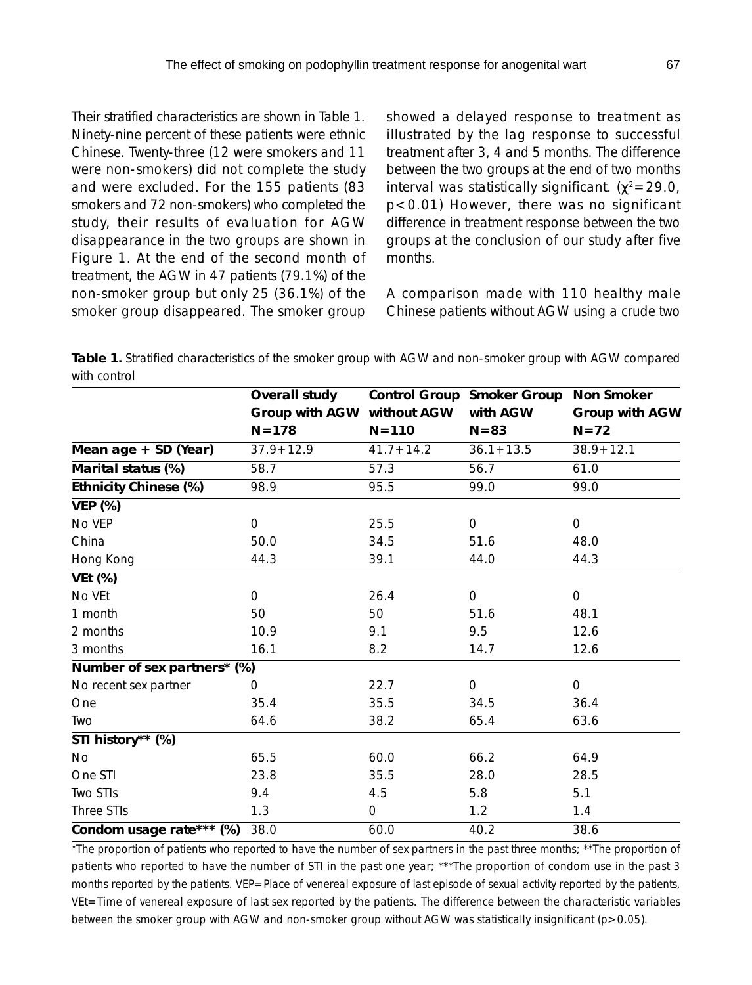Their stratified characteristics are shown in Table 1. Ninety-nine percent of these patients were ethnic Chinese. Twenty-three (12 were smokers and 11 were non-smokers) did not complete the study and were excluded. For the 155 patients (83 smokers and 72 non-smokers) who completed the study, their results of evaluation for AGW disappearance in the two groups are shown in Figure 1. At the end of the second month of treatment, the AGW in 47 patients (79.1%) of the non-smoker group but only 25 (36.1%) of the smoker group disappeared. The smoker group showed a delayed response to treatment as illustrated by the lag response to successful treatment after 3, 4 and 5 months. The difference between the two groups at the end of two months interval was statistically significant. ( $χ² = 29.0$ , p<0.01) However, there was no significant difference in treatment response between the two groups at the conclusion of our study after five months.

A comparison made with 110 healthy male Chinese patients without AGW using a crude two

**Table 1.** Stratified characteristics of the smoker group with AGW and non-smoker group with AGW compared with control

|                             | Overall study  |               | Control Group Smoker Group | <b>Non Smoker</b> |  |
|-----------------------------|----------------|---------------|----------------------------|-------------------|--|
|                             | Group with AGW | without AGW   | with AGW                   | Group with AGW    |  |
|                             | $N = 178$      | $N = 110$     | $N = 83$                   | $N=72$            |  |
| Mean age + SD (Year)        | $37.9 + 12.9$  | $41.7 + 14.2$ | $36.1 + 13.5$              | $38.9 + 12.1$     |  |
| Marital status (%)          | 58.7           | 57.3          | 56.7                       | 61.0              |  |
| Ethnicity Chinese (%)       | 98.9           | 95.5          | 99.0                       | 99.0              |  |
| <b>VEP (%)</b>              |                |               |                            |                   |  |
| No VEP                      | $\mathbf 0$    | 25.5          | $\mathbf 0$                | 0                 |  |
| China                       | 50.0           | 34.5          | 51.6                       | 48.0              |  |
| Hong Kong                   | 44.3           | 39.1          | 44.0                       | 44.3              |  |
| <b>VEt (%)</b>              |                |               |                            |                   |  |
| No VEt                      | 0              | 26.4          | $\mathbf 0$                | $\mathbf 0$       |  |
| 1 month                     | 50             | 50            | 51.6                       | 48.1              |  |
| 2 months                    | 10.9           | 9.1           | 9.5                        | 12.6              |  |
| 3 months                    | 16.1           | 8.2           | 14.7                       | 12.6              |  |
| Number of sex partners* (%) |                |               |                            |                   |  |
| No recent sex partner       | 0              | 22.7          | 0                          | $\mathbf 0$       |  |
| One                         | 35.4           | 35.5          | 34.5                       | 36.4              |  |
| Two                         | 64.6           | 38.2          | 65.4                       | 63.6              |  |
| STI history** (%)           |                |               |                            |                   |  |
| No                          | 65.5           | 60.0          | 66.2                       | 64.9              |  |
| One STI                     | 23.8           | 35.5          | 28.0                       | 28.5              |  |
| <b>Two STIs</b>             | 9.4            | 4.5           | 5.8                        | 5.1               |  |
| Three STIs                  | 1.3            | 0             | 1.2                        | 1.4               |  |
| Condom usage rate*** (%)    | 38.0           | 60.0          | 40.2                       | 38.6              |  |
| $+ - +$                     |                |               |                            |                   |  |

\*The proportion of patients who reported to have the number of sex partners in the past three months; \*\*The proportion of patients who reported to have the number of STI in the past one year; \*\*\*The proportion of condom use in the past 3 months reported by the patients. VEP=Place of venereal exposure of last episode of sexual activity reported by the patients, VEt=Time of venereal exposure of last sex reported by the patients. The difference between the characteristic variables between the smoker group with AGW and non-smoker group without AGW was statistically insignificant (p>0.05).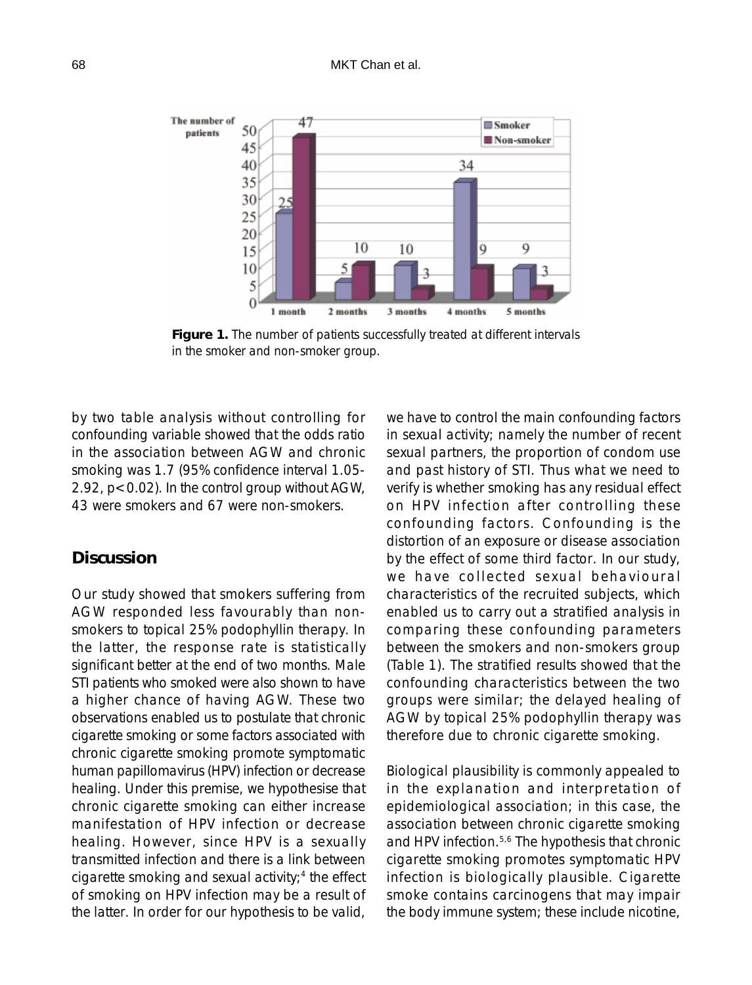

**Figure 1.** The number of patients successfully treated at different intervals in the smoker and non-smoker group.

by two table analysis without controlling for confounding variable showed that the odds ratio in the association between AGW and chronic smoking was 1.7 (95% confidence interval 1.05- 2.92, p<0.02). In the control group without AGW, 43 were smokers and 67 were non-smokers.

### **Discussion**

Our study showed that smokers suffering from AGW responded less favourably than nonsmokers to topical 25% podophyllin therapy. In the latter, the response rate is statistically significant better at the end of two months. Male STI patients who smoked were also shown to have a higher chance of having AGW. These two observations enabled us to postulate that chronic cigarette smoking or some factors associated with chronic cigarette smoking promote symptomatic human papillomavirus (HPV) infection or decrease healing. Under this premise, we hypothesise that chronic cigarette smoking can either increase manifestation of HPV infection or decrease healing. However, since HPV is a sexually transmitted infection and there is a link between cigarette smoking and sexual activity; $4$  the effect of smoking on HPV infection may be a result of the latter. In order for our hypothesis to be valid,

we have to control the main confounding factors in sexual activity; namely the number of recent sexual partners, the proportion of condom use and past history of STI. Thus what we need to verify is whether smoking has any residual effect on HPV infection after controlling these confounding factors. Confounding is the distortion of an exposure or disease association by the effect of some third factor. In our study, we have collected sexual behavioural characteristics of the recruited subjects, which enabled us to carry out a stratified analysis in comparing these confounding parameters between the smokers and non-smokers group (Table 1). The stratified results showed that the confounding characteristics between the two groups were similar; the delayed healing of AGW by topical 25% podophyllin therapy was therefore due to chronic cigarette smoking.

Biological plausibility is commonly appealed to in the explanation and interpretation of epidemiological association; in this case, the association between chronic cigarette smoking and HPV infection.<sup>5,6</sup> The hypothesis that chronic cigarette smoking promotes symptomatic HPV infection is biologically plausible. Cigarette smoke contains carcinogens that may impair the body immune system; these include nicotine,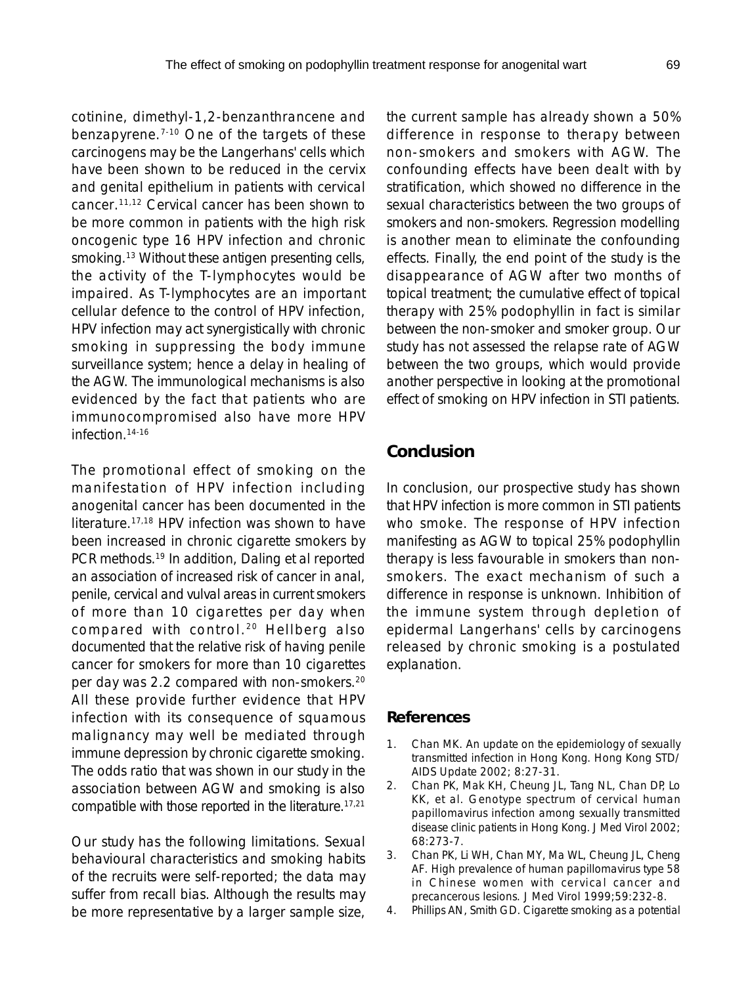cotinine, dimethyl-1,2-benzanthrancene and benzapyrene.7-10 One of the targets of these carcinogens may be the Langerhans' cells which have been shown to be reduced in the cervix and genital epithelium in patients with cervical cancer.11,12 Cervical cancer has been shown to be more common in patients with the high risk oncogenic type 16 HPV infection and chronic smoking.<sup>13</sup> Without these antigen presenting cells, the activity of the T-lymphocytes would be impaired. As T-lymphocytes are an important cellular defence to the control of HPV infection, HPV infection may act synergistically with chronic smoking in suppressing the body immune surveillance system; hence a delay in healing of the AGW. The immunological mechanisms is also evidenced by the fact that patients who are immunocompromised also have more HPV infection<sup>14-16</sup>

The promotional effect of smoking on the manifestation of HPV infection including anogenital cancer has been documented in the literature.17,18 HPV infection was shown to have been increased in chronic cigarette smokers by PCR methods.<sup>19</sup> In addition, Daling et al reported an association of increased risk of cancer in anal, penile, cervical and vulval areas in current smokers of more than 10 cigarettes per day when compared with control. 20 Hellberg also documented that the relative risk of having penile cancer for smokers for more than 10 cigarettes per day was 2.2 compared with non-smokers.20 All these provide further evidence that HPV infection with its consequence of squamous malignancy may well be mediated through immune depression by chronic cigarette smoking. The odds ratio that was shown in our study in the association between AGW and smoking is also compatible with those reported in the literature.17,21

Our study has the following limitations. Sexual behavioural characteristics and smoking habits of the recruits were self-reported; the data may suffer from recall bias. Although the results may be more representative by a larger sample size,

the current sample has already shown a 50% difference in response to therapy between non-smokers and smokers with AGW. The confounding effects have been dealt with by stratification, which showed no difference in the sexual characteristics between the two groups of smokers and non-smokers. Regression modelling is another mean to eliminate the confounding effects. Finally, the end point of the study is the disappearance of AGW after two months of topical treatment; the cumulative effect of topical therapy with 25% podophyllin in fact is similar between the non-smoker and smoker group. Our study has not assessed the relapse rate of AGW between the two groups, which would provide another perspective in looking at the promotional effect of smoking on HPV infection in STI patients.

## **Conclusion**

In conclusion, our prospective study has shown that HPV infection is more common in STI patients who smoke. The response of HPV infection manifesting as AGW to topical 25% podophyllin therapy is less favourable in smokers than nonsmokers. The exact mechanism of such a difference in response is unknown. Inhibition of the immune system through depletion of epidermal Langerhans' cells by carcinogens released by chronic smoking is a postulated explanation.

#### **References**

- 1. Chan MK. An update on the epidemiology of sexually transmitted infection in Hong Kong. Hong Kong STD/ AIDS Update 2002; 8:27-31.
- 2. Chan PK, Mak KH, Cheung JL, Tang NL, Chan DP, Lo KK, et al. Genotype spectrum of cervical human papillomavirus infection among sexually transmitted disease clinic patients in Hong Kong. J Med Virol 2002; 68:273-7.
- 3. Chan PK, Li WH, Chan MY, Ma WL, Cheung JL, Cheng AF. High prevalence of human papillomavirus type 58 in Chinese women with cervical cancer and precancerous lesions. J Med Virol 1999;59:232-8.
- 4. Phillips AN, Smith GD. Cigarette smoking as a potential